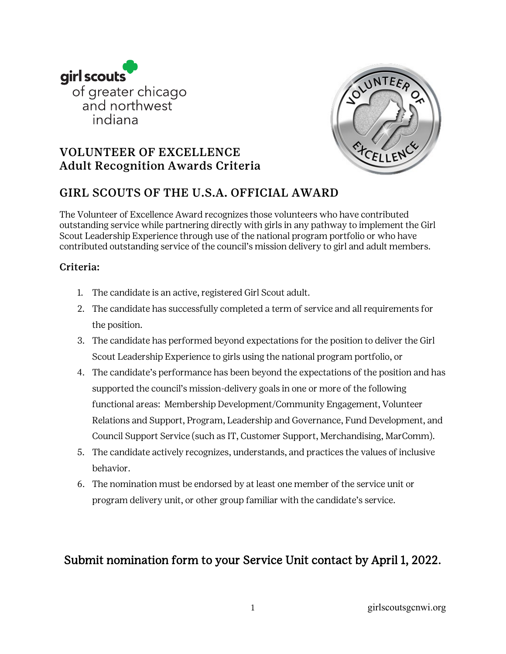



# VOLUNTEER OF EXCELLENCE Adult Recognition Awards Criteria

## GIRL SCOUTS OF THE U.S.A. OFFICIAL AWARD

The Volunteer of Excellence Award recognizes those volunteers who have contributed outstanding service while partnering directly with girls in any pathway to implement the Girl Scout Leadership Experience through use of the national program portfolio or who have contributed outstanding service of the council's mission delivery to girl and adult members.

#### Criteria:

- 1. The candidate is an active, registered Girl Scout adult.
- 2. The candidate has successfully completed a term of service and all requirements for the position.
- 3. The candidate has performed beyond expectations for the position to deliver the Girl Scout Leadership Experience to girls using the national program portfolio, or
- 4. The candidate's performance has been beyond the expectations of the position and has supported the council's mission-delivery goals in one or more of the following functional areas: Membership Development/Community Engagement, Volunteer Relations and Support, Program, Leadership and Governance, Fund Development, and Council Support Service (such as IT, Customer Support, Merchandising, MarComm).
- 5. The candidate actively recognizes, understands, and practices the values of inclusive behavior.
- 6. The nomination must be endorsed by at least one member of the service unit or program delivery unit, or other group familiar with the candidate's service.

# Submit nomination form to your Service Unit contact by April 1, 2022.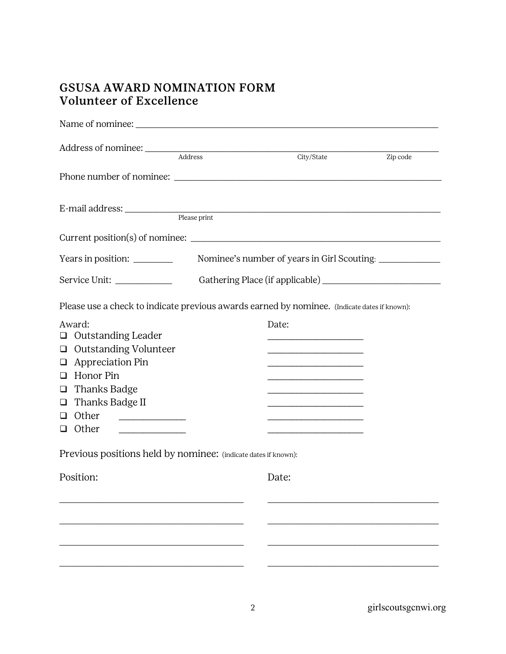# GSUSA AWARD NOMINATION FORM Volunteer of Excellence

| Address of nominee:<br>Address                                                                                                                                                                              |                                 |       | City/State                                                                                                                                                                                                                                                                                                                                                                                                                                                                                                                                                                                                                                                                                                                                                                                                         | Zip code                                    |
|-------------------------------------------------------------------------------------------------------------------------------------------------------------------------------------------------------------|---------------------------------|-------|--------------------------------------------------------------------------------------------------------------------------------------------------------------------------------------------------------------------------------------------------------------------------------------------------------------------------------------------------------------------------------------------------------------------------------------------------------------------------------------------------------------------------------------------------------------------------------------------------------------------------------------------------------------------------------------------------------------------------------------------------------------------------------------------------------------------|---------------------------------------------|
|                                                                                                                                                                                                             |                                 |       |                                                                                                                                                                                                                                                                                                                                                                                                                                                                                                                                                                                                                                                                                                                                                                                                                    |                                             |
| E-mail address: Please print                                                                                                                                                                                |                                 |       |                                                                                                                                                                                                                                                                                                                                                                                                                                                                                                                                                                                                                                                                                                                                                                                                                    |                                             |
|                                                                                                                                                                                                             |                                 |       |                                                                                                                                                                                                                                                                                                                                                                                                                                                                                                                                                                                                                                                                                                                                                                                                                    |                                             |
| Years in position:                                                                                                                                                                                          |                                 |       |                                                                                                                                                                                                                                                                                                                                                                                                                                                                                                                                                                                                                                                                                                                                                                                                                    | Nominee's number of years in Girl Scouting: |
| Service Unit:                                                                                                                                                                                               | Gathering Place (if applicable) |       |                                                                                                                                                                                                                                                                                                                                                                                                                                                                                                                                                                                                                                                                                                                                                                                                                    |                                             |
| Please use a check to indicate previous awards earned by nominee. (Indicate dates if known):                                                                                                                |                                 |       |                                                                                                                                                                                                                                                                                                                                                                                                                                                                                                                                                                                                                                                                                                                                                                                                                    |                                             |
| Award:<br>$\Box$ Outstanding Leader<br><b>Outstanding Volunteer</b><br>$\Box$<br>$\Box$ Appreciation Pin<br>Honor Pin<br>$\Box$<br><b>Thanks Badge</b><br>$\Box$<br>Thanks Badge II<br>$\Box$<br>Other<br>❏ |                                 | Date: | <u> 1980 - Jan James James Jan James James James James James James James James James James James James James James</u><br><u> 1980 - Johann John Stone, mars and de British and de British and de British and de British and de British an</u><br><u> 1989 - Johann John Stone, markin amerikan basar dan berkembang di banyak di banyak di banyak di banyak di banyak di banyak di banyak di banyak di banyak di banyak di banyak di banyak di banyak di banyak di banyak di bany</u><br><u> 1989 - Johann John Stone, mensk politik fotograf (d. 1989)</u><br><u> 1989 - Johann John Stone, market francuski filozof (</u><br><u> 1980 - Johann John Stone, mensk politik fotograf (d. 1980)</u><br><u> 1990 - Johann John Stone, mars et al. (</u><br><u> 1989 - Johann John Stone, mensk politik (d. 1989)</u> |                                             |
| Previous positions held by nominee: (indicate dates if known):                                                                                                                                              |                                 |       |                                                                                                                                                                                                                                                                                                                                                                                                                                                                                                                                                                                                                                                                                                                                                                                                                    |                                             |
| Position:                                                                                                                                                                                                   |                                 | Date: |                                                                                                                                                                                                                                                                                                                                                                                                                                                                                                                                                                                                                                                                                                                                                                                                                    |                                             |
|                                                                                                                                                                                                             |                                 |       |                                                                                                                                                                                                                                                                                                                                                                                                                                                                                                                                                                                                                                                                                                                                                                                                                    |                                             |
|                                                                                                                                                                                                             |                                 |       |                                                                                                                                                                                                                                                                                                                                                                                                                                                                                                                                                                                                                                                                                                                                                                                                                    |                                             |
|                                                                                                                                                                                                             |                                 |       |                                                                                                                                                                                                                                                                                                                                                                                                                                                                                                                                                                                                                                                                                                                                                                                                                    |                                             |

2 girlscoutsgcnwi.org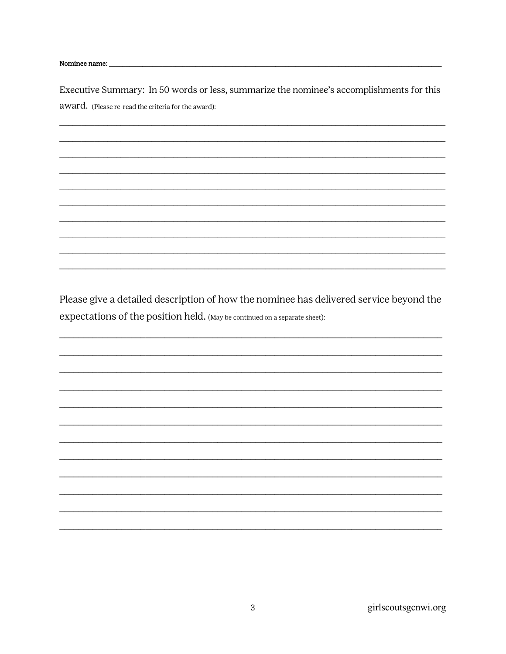Nominee name:

Executive Summary: In 50 words or less, summarize the nominee's accomplishments for this award. (Please re-read the criteria for the award):

Please give a detailed description of how the nominee has delivered service beyond the expectations of the position held. (May be continued on a separate sheet):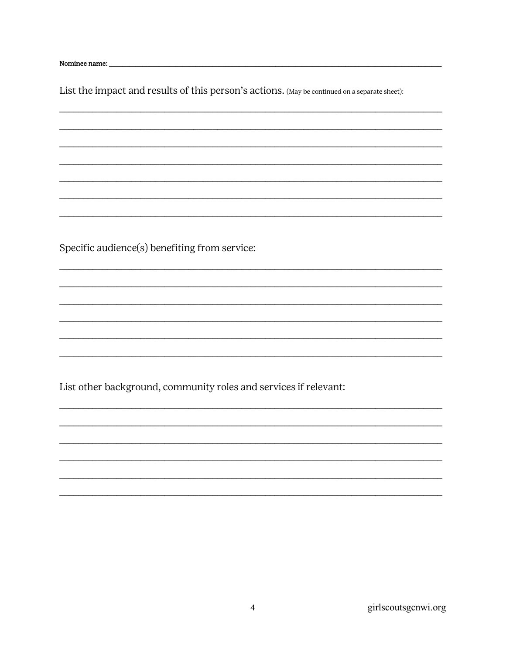Nominee name: \_\_

List the impact and results of this person's actions. (May be continued on a separate sheet):

Specific audience(s) benefiting from service:

List other background, community roles and services if relevant:

girlscoutsgcnwi.org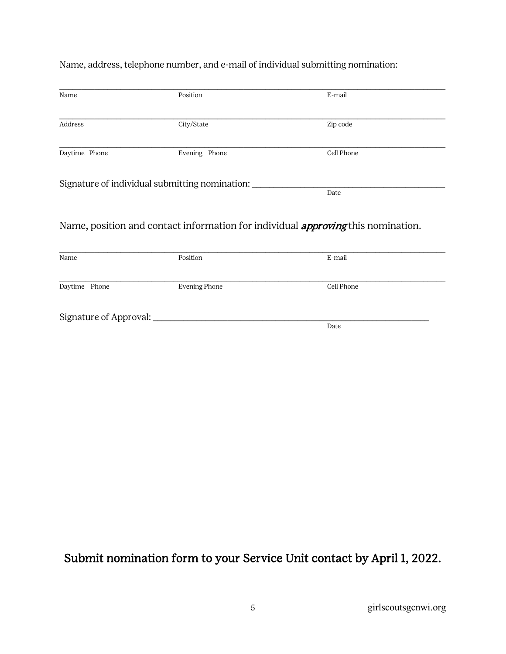| Address<br>Daytime Phone | City/State<br>Evening Phone                    | Zip code<br>Cell Phone                                                                  |
|--------------------------|------------------------------------------------|-----------------------------------------------------------------------------------------|
|                          |                                                |                                                                                         |
|                          |                                                |                                                                                         |
|                          | Signature of individual submitting nomination: | Date                                                                                    |
|                          |                                                | Name, position and contact information for individual <i>approving</i> this nomination. |
| Name                     | Position                                       | E-mail                                                                                  |
| Daytime Phone            | <b>Evening Phone</b>                           | Cell Phone                                                                              |
| Signature of Approval:   |                                                | Date                                                                                    |

Name, address, telephone number, and e-mail of individual submitting nomination:

## Submit nomination form to your Service Unit contact by April 1, 2022.